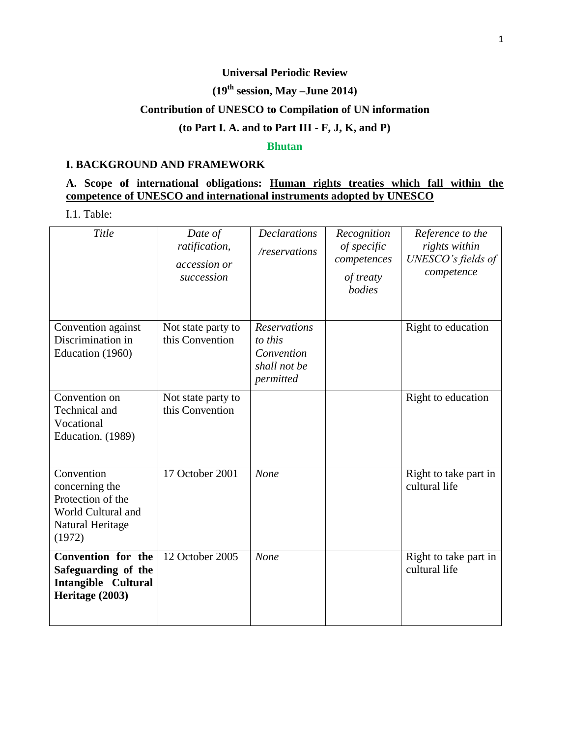#### **Universal Periodic Review**

# **(19 th session, May –June 2014)**

# **Contribution of UNESCO to Compilation of UN information**

## **(to Part I. A. and to Part III - F, J, K, and P)**

#### **Bhutan**

#### **I. BACKGROUND AND FRAMEWORK**

### **A. Scope of international obligations: Human rights treaties which fall within the competence of UNESCO and international instruments adopted by UNESCO**

I.1. Table:

| Title                                                                                                 | Date of<br>ratification,<br>accession or<br>succession | <b>Declarations</b><br>/reservations                                      | Recognition<br>of specific<br>competences<br>of treaty<br>bodies | Reference to the<br>rights within<br>UNESCO's fields of<br>competence |
|-------------------------------------------------------------------------------------------------------|--------------------------------------------------------|---------------------------------------------------------------------------|------------------------------------------------------------------|-----------------------------------------------------------------------|
| Convention against<br>Discrimination in<br>Education (1960)                                           | Not state party to<br>this Convention                  | <b>Reservations</b><br>to this<br>Convention<br>shall not be<br>permitted |                                                                  | Right to education                                                    |
| Convention on<br>Technical and<br>Vocational<br>Education. (1989)                                     | Not state party to<br>this Convention                  |                                                                           |                                                                  | Right to education                                                    |
| Convention<br>concerning the<br>Protection of the<br>World Cultural and<br>Natural Heritage<br>(1972) | 17 October 2001                                        | None                                                                      |                                                                  | Right to take part in<br>cultural life                                |
| Convention for the<br>Safeguarding of the<br><b>Intangible Cultural</b><br>Heritage (2003)            | 12 October 2005                                        | None                                                                      |                                                                  | Right to take part in<br>cultural life                                |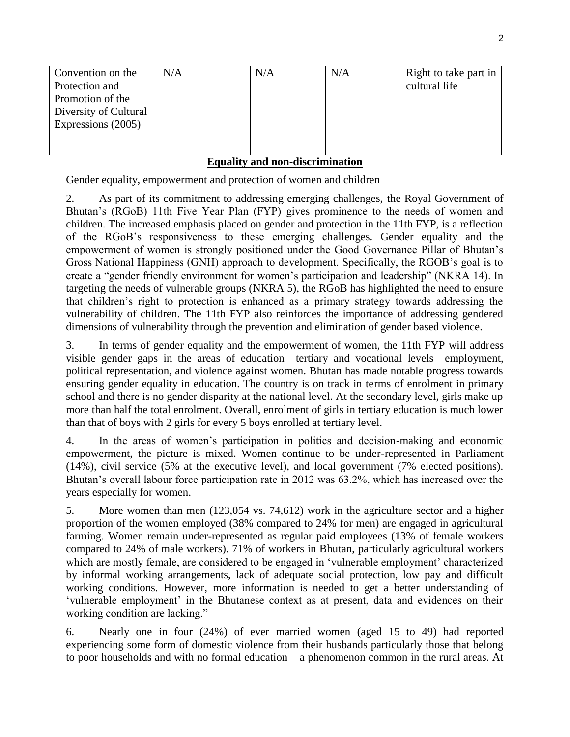| Convention on the     | N/A | N/A | N/A | Right to take part in |
|-----------------------|-----|-----|-----|-----------------------|
| Protection and        |     |     |     | cultural life         |
| Promotion of the      |     |     |     |                       |
| Diversity of Cultural |     |     |     |                       |
| Expressions (2005)    |     |     |     |                       |
|                       |     |     |     |                       |
|                       |     |     |     |                       |

## **Equality and non-discrimination**

Gender equality, empowerment and protection of women and children

2. As part of its commitment to addressing emerging challenges, the Royal Government of Bhutan's (RGoB) 11th Five Year Plan (FYP) gives prominence to the needs of women and children. The increased emphasis placed on gender and protection in the 11th FYP, is a reflection of the RGoB's responsiveness to these emerging challenges. Gender equality and the empowerment of women is strongly positioned under the Good Governance Pillar of Bhutan's Gross National Happiness (GNH) approach to development. Specifically, the RGOB's goal is to create a "gender friendly environment for women's participation and leadership" (NKRA 14). In targeting the needs of vulnerable groups (NKRA 5), the RGoB has highlighted the need to ensure that children's right to protection is enhanced as a primary strategy towards addressing the vulnerability of children. The 11th FYP also reinforces the importance of addressing gendered dimensions of vulnerability through the prevention and elimination of gender based violence.

3. In terms of gender equality and the empowerment of women, the 11th FYP will address visible gender gaps in the areas of education—tertiary and vocational levels—employment, political representation, and violence against women. Bhutan has made notable progress towards ensuring gender equality in education. The country is on track in terms of enrolment in primary school and there is no gender disparity at the national level. At the secondary level, girls make up more than half the total enrolment. Overall, enrolment of girls in tertiary education is much lower than that of boys with 2 girls for every 5 boys enrolled at tertiary level.

4. In the areas of women's participation in politics and decision-making and economic empowerment, the picture is mixed. Women continue to be under-represented in Parliament (14%), civil service (5% at the executive level), and local government (7% elected positions). Bhutan's overall labour force participation rate in 2012 was 63.2%, which has increased over the years especially for women.

5. More women than men (123,054 vs. 74,612) work in the agriculture sector and a higher proportion of the women employed (38% compared to 24% for men) are engaged in agricultural farming. Women remain under-represented as regular paid employees (13% of female workers compared to 24% of male workers). 71% of workers in Bhutan, particularly agricultural workers which are mostly female, are considered to be engaged in 'vulnerable employment' characterized by informal working arrangements, lack of adequate social protection, low pay and difficult working conditions. However, more information is needed to get a better understanding of 'vulnerable employment' in the Bhutanese context as at present, data and evidences on their working condition are lacking."

6. Nearly one in four (24%) of ever married women (aged 15 to 49) had reported experiencing some form of domestic violence from their husbands particularly those that belong to poor households and with no formal education – a phenomenon common in the rural areas. At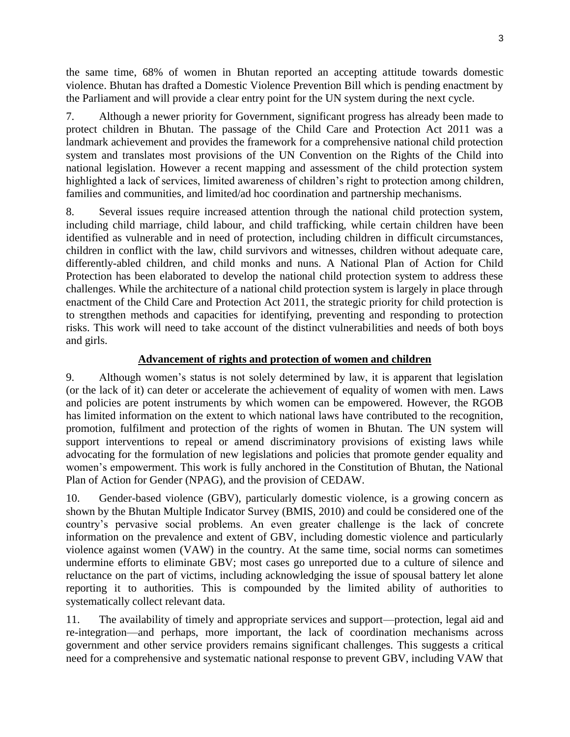the same time, 68% of women in Bhutan reported an accepting attitude towards domestic violence. Bhutan has drafted a Domestic Violence Prevention Bill which is pending enactment by the Parliament and will provide a clear entry point for the UN system during the next cycle.

7. Although a newer priority for Government, significant progress has already been made to protect children in Bhutan. The passage of the Child Care and Protection Act 2011 was a landmark achievement and provides the framework for a comprehensive national child protection system and translates most provisions of the UN Convention on the Rights of the Child into national legislation. However a recent mapping and assessment of the child protection system highlighted a lack of services, limited awareness of children's right to protection among children, families and communities, and limited/ad hoc coordination and partnership mechanisms.

8. Several issues require increased attention through the national child protection system, including child marriage, child labour, and child trafficking, while certain children have been identified as vulnerable and in need of protection, including children in difficult circumstances, children in conflict with the law, child survivors and witnesses, children without adequate care, differently-abled children, and child monks and nuns. A National Plan of Action for Child Protection has been elaborated to develop the national child protection system to address these challenges. While the architecture of a national child protection system is largely in place through enactment of the Child Care and Protection Act 2011, the strategic priority for child protection is to strengthen methods and capacities for identifying, preventing and responding to protection risks. This work will need to take account of the distinct vulnerabilities and needs of both boys and girls.

# **Advancement of rights and protection of women and children**

9. Although women's status is not solely determined by law, it is apparent that legislation (or the lack of it) can deter or accelerate the achievement of equality of women with men. Laws and policies are potent instruments by which women can be empowered. However, the RGOB has limited information on the extent to which national laws have contributed to the recognition, promotion, fulfilment and protection of the rights of women in Bhutan. The UN system will support interventions to repeal or amend discriminatory provisions of existing laws while advocating for the formulation of new legislations and policies that promote gender equality and women's empowerment. This work is fully anchored in the Constitution of Bhutan, the National Plan of Action for Gender (NPAG), and the provision of CEDAW.

10. Gender-based violence (GBV), particularly domestic violence, is a growing concern as shown by the Bhutan Multiple Indicator Survey (BMIS, 2010) and could be considered one of the country's pervasive social problems. An even greater challenge is the lack of concrete information on the prevalence and extent of GBV, including domestic violence and particularly violence against women (VAW) in the country. At the same time, social norms can sometimes undermine efforts to eliminate GBV; most cases go unreported due to a culture of silence and reluctance on the part of victims, including acknowledging the issue of spousal battery let alone reporting it to authorities. This is compounded by the limited ability of authorities to systematically collect relevant data.

11. The availability of timely and appropriate services and support—protection, legal aid and re-integration—and perhaps, more important, the lack of coordination mechanisms across government and other service providers remains significant challenges. This suggests a critical need for a comprehensive and systematic national response to prevent GBV, including VAW that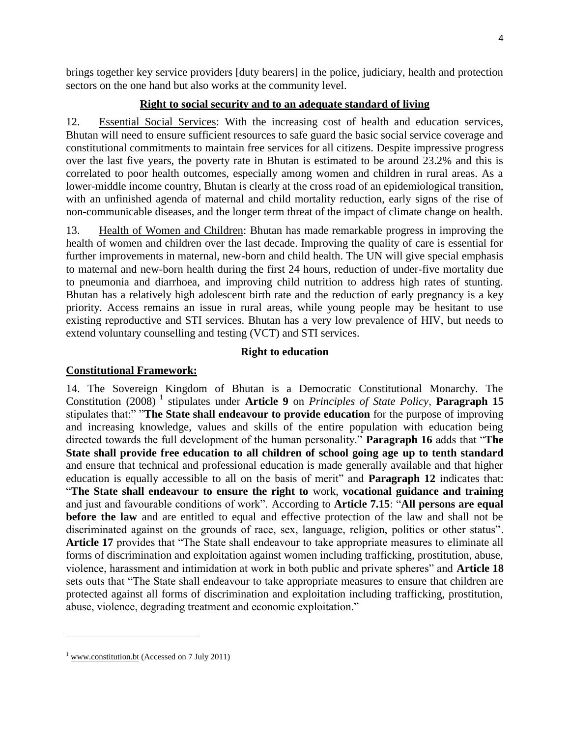brings together key service providers [duty bearers] in the police, judiciary, health and protection sectors on the one hand but also works at the community level.

## **Right to social security and to an adequate standard of living**

12. Essential Social Services: With the increasing cost of health and education services, Bhutan will need to ensure sufficient resources to safe guard the basic social service coverage and constitutional commitments to maintain free services for all citizens. Despite impressive progress over the last five years, the poverty rate in Bhutan is estimated to be around 23.2% and this is correlated to poor health outcomes, especially among women and children in rural areas. As a lower-middle income country, Bhutan is clearly at the cross road of an epidemiological transition, with an unfinished agenda of maternal and child mortality reduction, early signs of the rise of non-communicable diseases, and the longer term threat of the impact of climate change on health.

13. Health of Women and Children: Bhutan has made remarkable progress in improving the health of women and children over the last decade. Improving the quality of care is essential for further improvements in maternal, new-born and child health. The UN will give special emphasis to maternal and new-born health during the first 24 hours, reduction of under-five mortality due to pneumonia and diarrhoea, and improving child nutrition to address high rates of stunting. Bhutan has a relatively high adolescent birth rate and the reduction of early pregnancy is a key priority. Access remains an issue in rural areas, while young people may be hesitant to use existing reproductive and STI services. Bhutan has a very low prevalence of HIV, but needs to extend voluntary counselling and testing (VCT) and STI services.

## **Right to education**

### **Constitutional Framework:**

14. The Sovereign Kingdom of Bhutan is a Democratic Constitutional Monarchy. The Constitution (2008)<sup>1</sup> stipulates under **Article 9** on *Principles of State Policy*, **Paragraph 15** stipulates that:" "**The State shall endeavour to provide education** for the purpose of improving and increasing knowledge, values and skills of the entire population with education being directed towards the full development of the human personality." **Paragraph 16** adds that "**The State shall provide free education to all children of school going age up to tenth standard** and ensure that technical and professional education is made generally available and that higher education is equally accessible to all on the basis of merit" and **Paragraph 12** indicates that: "**The State shall endeavour to ensure the right to** work, **vocational guidance and training** and just and favourable conditions of work". According to **Article 7.15**: "**All persons are equal before the law** and are entitled to equal and effective protection of the law and shall not be discriminated against on the grounds of race, sex, language, religion, politics or other status". **Article 17** provides that "The State shall endeavour to take appropriate measures to eliminate all forms of discrimination and exploitation against women including trafficking, prostitution, abuse, violence, harassment and intimidation at work in both public and private spheres" and **Article 18** sets outs that "The State shall endeavour to take appropriate measures to ensure that children are protected against all forms of discrimination and exploitation including trafficking, prostitution, abuse, violence, degrading treatment and economic exploitation."

 $\overline{\phantom{a}}$ 

<sup>&</sup>lt;sup>1</sup> [www.constitution.bt](http://www.constitution.bt/) (Accessed on 7 July 2011)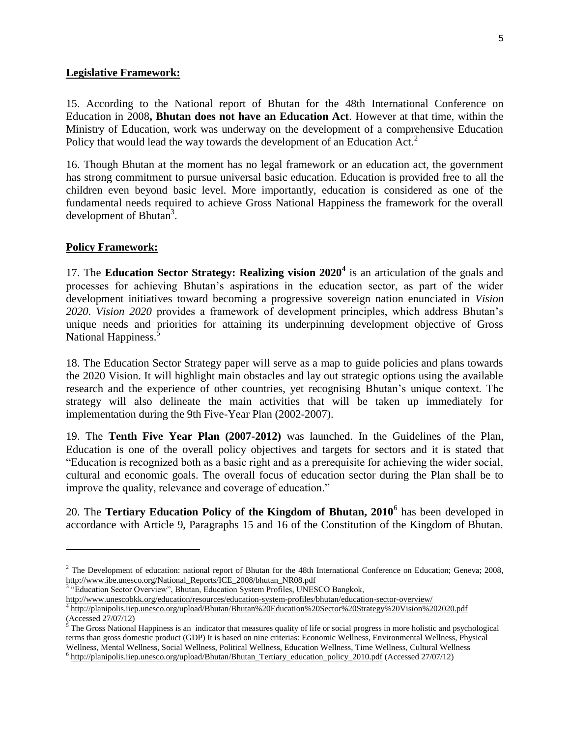#### **Legislative Framework:**

15. According to the National report of Bhutan for the 48th International Conference on Education in 2008**, Bhutan does not have an Education Act**. However at that time, within the Ministry of Education, work was underway on the development of a comprehensive Education Policy that would lead the way towards the development of an Education Act.<sup>2</sup>

16. Though Bhutan at the moment has no legal framework or an education act, the government has strong commitment to pursue universal basic education. Education is provided free to all the children even beyond basic level. More importantly, education is considered as one of the fundamental needs required to achieve Gross National Happiness the framework for the overall development of Bhutan<sup>3</sup>.

#### **Policy Framework:**

17. The **Education Sector Strategy: Realizing vision 2020<sup>4</sup>** is an articulation of the goals and processes for achieving Bhutan's aspirations in the education sector, as part of the wider development initiatives toward becoming a progressive sovereign nation enunciated in *Vision 2020*. *Vision 2020* provides a framework of development principles, which address Bhutan's unique needs and priorities for attaining its underpinning development objective of Gross National Happiness.<sup>5</sup>

18. The Education Sector Strategy paper will serve as a map to guide policies and plans towards the 2020 Vision. It will highlight main obstacles and lay out strategic options using the available research and the experience of other countries, yet recognising Bhutan's unique context. The strategy will also delineate the main activities that will be taken up immediately for implementation during the 9th Five-Year Plan (2002-2007).

19. The **Tenth Five Year Plan (2007-2012)** was launched. In the Guidelines of the Plan, Education is one of the overall policy objectives and targets for sectors and it is stated that "Education is recognized both as a basic right and as a prerequisite for achieving the wider social, cultural and economic goals. The overall focus of education sector during the Plan shall be to improve the quality, relevance and coverage of education."

20. The **Tertiary Education Policy of the Kingdom of Bhutan, 2010**<sup>6</sup> has been developed in accordance with Article 9, Paragraphs 15 and 16 of the Constitution of the Kingdom of Bhutan.

"Education Sector Overview", Bhutan, Education System Profiles, UNESCO Bangkok,

<http://www.unescobkk.org/education/resources/education-system-profiles/bhutan/education-sector-overview/> <sup>4</sup> <http://planipolis.iiep.unesco.org/upload/Bhutan/Bhutan%20Education%20Sector%20Strategy%20Vision%202020.pdf>

 $\overline{\phantom{a}}$ 

 $^2$  The Development of education: national report of Bhutan for the 48th International Conference on Education; Geneva; 2008, [http://www.ibe.unesco.org/National\\_Reports/ICE\\_2008/bhutan\\_NR08.pdf](http://www.ibe.unesco.org/National_Reports/ICE_2008/bhutan_NR08.pdf)<br><sup>3 "</sup>Education Sector Querricu", Phytan\_Education System Profiles\_UNES

<sup>(</sup>Accessed 27/07/12)

 $<sup>5</sup>$  The Gross National Happiness is an indicator that measures quality of life or social progress in more holistic and psychological</sup> terms than gross domestic product (GDP) It is based on nine criterias: Economic Wellness, Environmental Wellness, Physical Wellness, Mental Wellness, Social Wellness, Political Wellness, Education Wellness, Time Wellness, Cultural Wellness  $^6$  [http://planipolis.iiep.unesco.org/upload/Bhutan/Bhutan\\_Tertiary\\_education\\_policy\\_2010.pdf](http://planipolis.iiep.unesco.org/upload/Bhutan/Bhutan_Tertiary_education_policy_2010.pdf) (Accessed 27/07/12)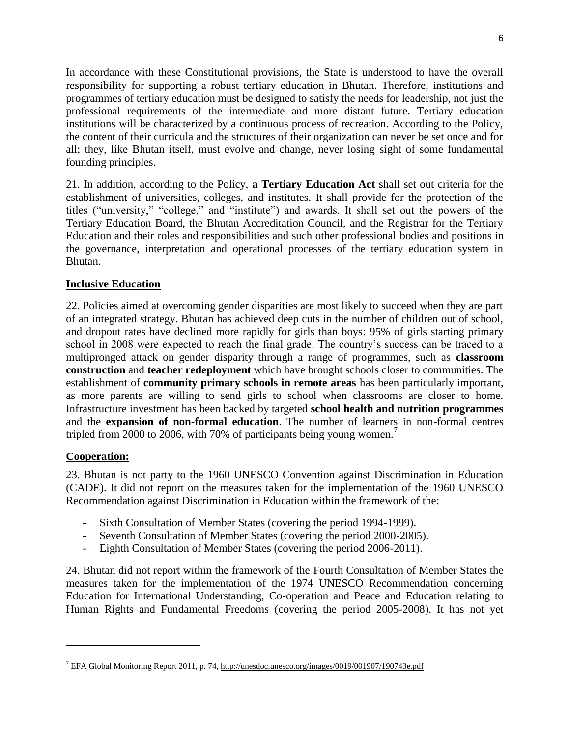In accordance with these Constitutional provisions, the State is understood to have the overall responsibility for supporting a robust tertiary education in Bhutan. Therefore, institutions and programmes of tertiary education must be designed to satisfy the needs for leadership, not just the professional requirements of the intermediate and more distant future. Tertiary education institutions will be characterized by a continuous process of recreation. According to the Policy, the content of their curricula and the structures of their organization can never be set once and for all; they, like Bhutan itself, must evolve and change, never losing sight of some fundamental founding principles.

21. In addition, according to the Policy, **a Tertiary Education Act** shall set out criteria for the establishment of universities, colleges, and institutes. It shall provide for the protection of the titles ("university," "college," and "institute") and awards. It shall set out the powers of the Tertiary Education Board, the Bhutan Accreditation Council, and the Registrar for the Tertiary Education and their roles and responsibilities and such other professional bodies and positions in the governance, interpretation and operational processes of the tertiary education system in Bhutan.

## **Inclusive Education**

22. Policies aimed at overcoming gender disparities are most likely to succeed when they are part of an integrated strategy. Bhutan has achieved deep cuts in the number of children out of school, and dropout rates have declined more rapidly for girls than boys: 95% of girls starting primary school in 2008 were expected to reach the final grade. The country's success can be traced to a multipronged attack on gender disparity through a range of programmes, such as **classroom construction** and **teacher redeployment** which have brought schools closer to communities. The establishment of **community primary schools in remote areas** has been particularly important, as more parents are willing to send girls to school when classrooms are closer to home. Infrastructure investment has been backed by targeted **school health and nutrition programmes** and the **expansion of non-formal education**. The number of learners in non-formal centres tripled from 2000 to 2006, with 70% of participants being young women.<sup>7</sup>

#### **Cooperation:**

 $\overline{\phantom{a}}$ 

23. Bhutan is not party to the 1960 UNESCO Convention against Discrimination in Education (CADE). It did not report on the measures taken for the implementation of the 1960 UNESCO Recommendation against Discrimination in Education within the framework of the:

- Sixth Consultation of Member States (covering the period 1994-1999).
- Seventh Consultation of Member States (covering the period 2000-2005).
- Eighth Consultation of Member States (covering the period 2006-2011).

24. Bhutan did not report within the framework of the Fourth Consultation of Member States the measures taken for the implementation of the 1974 UNESCO Recommendation concerning Education for International Understanding, Co-operation and Peace and Education relating to Human Rights and Fundamental Freedoms (covering the period 2005-2008). It has not yet

<sup>7</sup> EFA Global Monitoring Report 2011, p. 74,<http://unesdoc.unesco.org/images/0019/001907/190743e.pdf>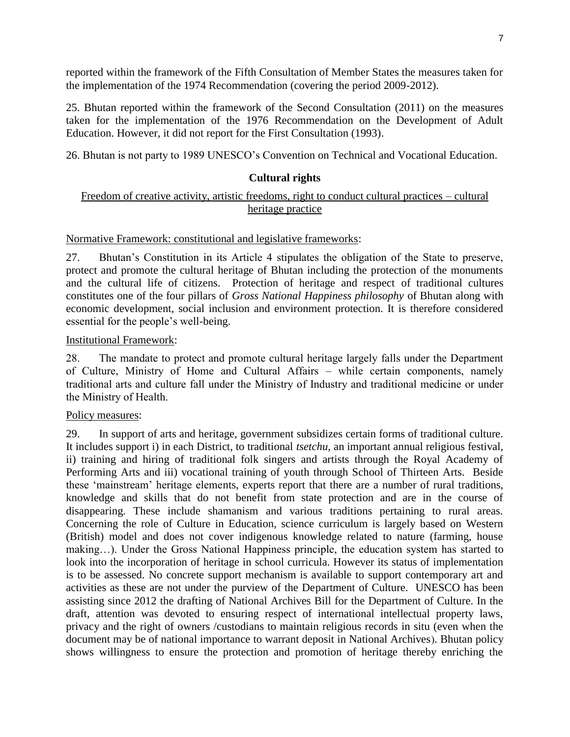reported within the framework of the Fifth Consultation of Member States the measures taken for the implementation of the 1974 Recommendation (covering the period 2009-2012).

25. Bhutan reported within the framework of the Second Consultation (2011) on the measures taken for the implementation of the 1976 Recommendation on the Development of Adult Education. However, it did not report for the First Consultation (1993).

26. Bhutan is not party to 1989 UNESCO's Convention on Technical and Vocational Education.

### **Cultural rights**

### Freedom of creative activity, artistic freedoms, right to conduct cultural practices – cultural heritage practice

#### Normative Framework: constitutional and legislative frameworks:

27. Bhutan's Constitution in its Article 4 stipulates the obligation of the State to preserve, protect and promote the cultural heritage of Bhutan including the protection of the monuments and the cultural life of citizens. Protection of heritage and respect of traditional cultures constitutes one of the four pillars of *Gross National Happiness philosophy* of Bhutan along with economic development, social inclusion and environment protection. It is therefore considered essential for the people's well-being.

#### Institutional Framework:

28. The mandate to protect and promote cultural heritage largely falls under the Department of Culture, Ministry of Home and Cultural Affairs – while certain components, namely traditional arts and culture fall under the Ministry of Industry and traditional medicine or under the Ministry of Health.

#### Policy measures:

29. In support of arts and heritage, government subsidizes certain forms of traditional culture. It includes support i) in each District, to traditional *tsetchu,* an important annual religious festival, ii) training and hiring of traditional folk singers and artists through the Royal Academy of Performing Arts and iii) vocational training of youth through School of Thirteen Arts. Beside these 'mainstream' heritage elements, experts report that there are a number of rural traditions, knowledge and skills that do not benefit from state protection and are in the course of disappearing. These include shamanism and various traditions pertaining to rural areas. Concerning the role of Culture in Education, science curriculum is largely based on Western (British) model and does not cover indigenous knowledge related to nature (farming, house making…). Under the Gross National Happiness principle, the education system has started to look into the incorporation of heritage in school curricula. However its status of implementation is to be assessed. No concrete support mechanism is available to support contemporary art and activities as these are not under the purview of the Department of Culture. UNESCO has been assisting since 2012 the drafting of National Archives Bill for the Department of Culture. In the draft, attention was devoted to ensuring respect of international intellectual property laws, privacy and the right of owners /custodians to maintain religious records in situ (even when the document may be of national importance to warrant deposit in National Archives). Bhutan policy shows willingness to ensure the protection and promotion of heritage thereby enriching the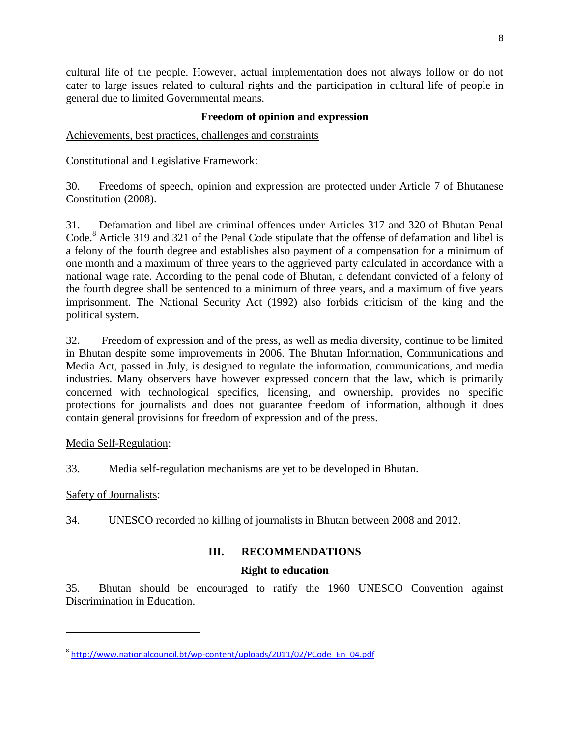cultural life of the people. However, actual implementation does not always follow or do not cater to large issues related to cultural rights and the participation in cultural life of people in general due to limited Governmental means.

# **Freedom of opinion and expression**

Achievements, best practices, challenges and constraints

Constitutional and Legislative Framework:

30. Freedoms of speech, opinion and expression are protected under Article 7 of Bhutanese Constitution (2008).

31. Defamation and libel are criminal offences under Articles 317 and 320 of Bhutan Penal Code.<sup>8</sup> Article 319 and 321 of the Penal Code stipulate that the offense of defamation and libel is a felony of the fourth degree and establishes also payment of a compensation for a minimum of one month and a maximum of three years to the aggrieved party calculated in accordance with a national wage rate. According to the penal code of Bhutan, a defendant convicted of a felony of the fourth degree shall be sentenced to a minimum of three years, and a maximum of five years imprisonment. The National Security Act (1992) also forbids criticism of the king and the political system.

32. Freedom of expression and of the press, as well as media diversity, continue to be limited in Bhutan despite some improvements in 2006. The Bhutan Information, Communications and Media Act, passed in July, is designed to regulate the information, communications, and media industries. Many observers have however expressed concern that the law, which is primarily concerned with technological specifics, licensing, and ownership, provides no specific protections for journalists and does not guarantee freedom of information, although it does contain general provisions for freedom of expression and of the press.

## Media Self-Regulation:

33. Media self-regulation mechanisms are yet to be developed in Bhutan.

## Safety of Journalists:

l

34. UNESCO recorded no killing of journalists in Bhutan between 2008 and 2012.

# **III. RECOMMENDATIONS**

# **Right to education**

35. Bhutan should be encouraged to ratify the 1960 UNESCO Convention against Discrimination in Education.

<sup>&</sup>lt;sup>8</sup> [http://www.nationalcouncil.bt/wp-content/uploads/2011/02/PCode\\_En\\_04.pdf](http://www.nationalcouncil.bt/wp-content/uploads/2011/02/PCode_En_04.pdf)